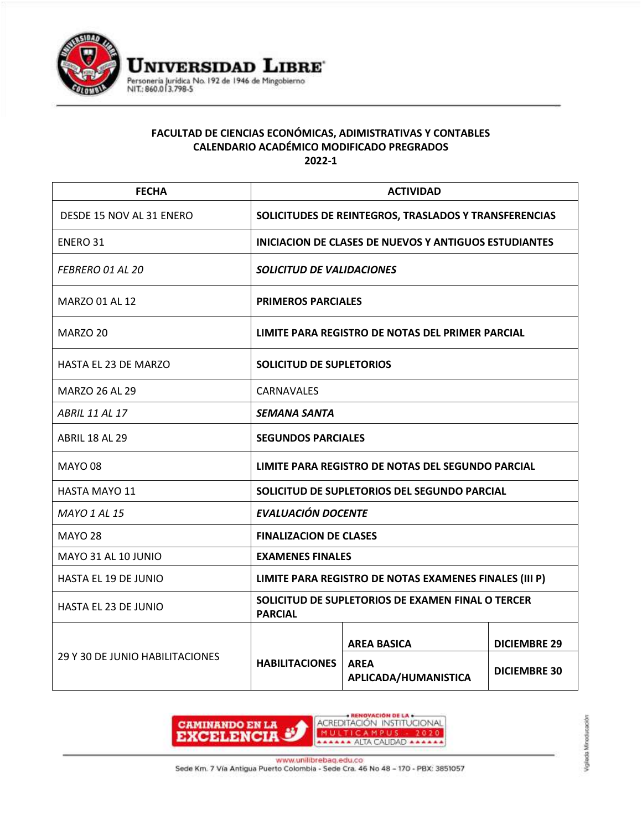

## **FACULTAD DE CIENCIAS ECONÓMICAS, ADIMISTRATIVAS Y CONTABLES CALENDARIO ACADÉMICO MODIFICADO PREGRADOS 2022-1**

| <b>FECHA</b>                    | <b>ACTIVIDAD</b>                                                    |                                     |                     |
|---------------------------------|---------------------------------------------------------------------|-------------------------------------|---------------------|
| DESDE 15 NOV AL 31 ENERO        | SOLICITUDES DE REINTEGROS, TRASLADOS Y TRANSFERENCIAS               |                                     |                     |
| <b>ENERO 31</b>                 | <b>INICIACION DE CLASES DE NUEVOS Y ANTIGUOS ESTUDIANTES</b>        |                                     |                     |
| FEBRERO 01 AL 20                | SOLICITUD DE VALIDACIONES                                           |                                     |                     |
| <b>MARZO 01 AL 12</b>           | <b>PRIMEROS PARCIALES</b>                                           |                                     |                     |
| MARZO 20                        | LIMITE PARA REGISTRO DE NOTAS DEL PRIMER PARCIAL                    |                                     |                     |
| <b>HASTA EL 23 DE MARZO</b>     | SOLICITUD DE SUPLETORIOS                                            |                                     |                     |
| MARZO 26 AL 29                  | <b>CARNAVALES</b>                                                   |                                     |                     |
| <b>ABRIL 11 AL 17</b>           | <i><b>SEMANA SANTA</b></i>                                          |                                     |                     |
| <b>ABRIL 18 AL 29</b>           | <b>SEGUNDOS PARCIALES</b>                                           |                                     |                     |
| <b>MAYO 08</b>                  | LIMITE PARA REGISTRO DE NOTAS DEL SEGUNDO PARCIAL                   |                                     |                     |
| <b>HASTA MAYO 11</b>            | SOLICITUD DE SUPLETORIOS DEL SEGUNDO PARCIAL                        |                                     |                     |
| <b>MAYO 1 AL 15</b>             | <b>EVALUACIÓN DOCENTE</b>                                           |                                     |                     |
| <b>MAYO 28</b>                  | <b>FINALIZACION DE CLASES</b>                                       |                                     |                     |
| MAYO 31 AL 10 JUNIO             | <b>EXAMENES FINALES</b>                                             |                                     |                     |
| HASTA EL 19 DE JUNIO            | LIMITE PARA REGISTRO DE NOTAS EXAMENES FINALES (III P)              |                                     |                     |
| HASTA EL 23 DE JUNIO            | SOLICITUD DE SUPLETORIOS DE EXAMEN FINAL O TERCER<br><b>PARCIAL</b> |                                     |                     |
| 29 Y 30 DE JUNIO HABILITACIONES | <b>HABILITACIONES</b>                                               | <b>AREA BASICA</b>                  | <b>DICIEMBRE 29</b> |
|                                 |                                                                     | <b>AREA</b><br>APLICADA/HUMANISTICA | <b>DICIEMBRE 30</b> |



www.unilibrebaq.edu.co

Sede Km. 7 Vía Antigua Puerto Colombia - Sede Cra. 46 No 48 - 170 - PBX: 3851057